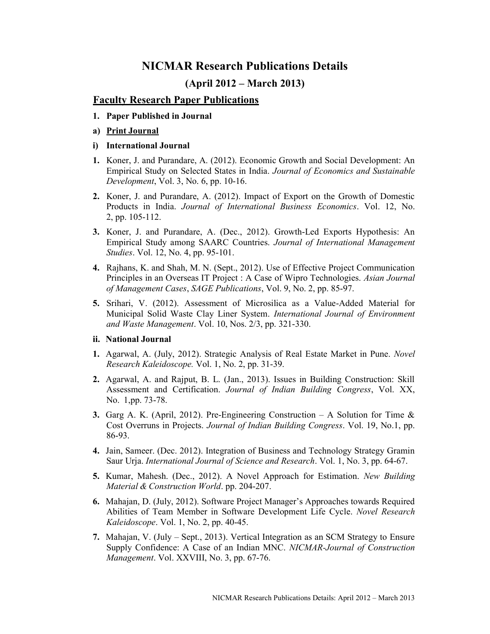# NICMAR Research Publications Details

## (April 2012 – March 2013)

### Faculty Research Paper Publications

- 1. Paper Published in Journal
- a) Print Journal
- i) International Journal
- 1. Koner, J. and Purandare, A. (2012). Economic Growth and Social Development: An Empirical Study on Selected States in India. Journal of Economics and Sustainable Development, Vol. 3, No. 6, pp. 10-16.
- 2. Koner, J. and Purandare, A. (2012). Impact of Export on the Growth of Domestic Products in India. Journal of International Business Economics. Vol. 12, No. 2, pp. 105-112.
- 3. Koner, J. and Purandare, A. (Dec., 2012). Growth-Led Exports Hypothesis: An Empirical Study among SAARC Countries. Journal of International Management Studies. Vol. 12, No. 4, pp. 95-101.
- 4. Rajhans, K. and Shah, M. N. (Sept., 2012). Use of Effective Project Communication Principles in an Overseas IT Project : A Case of Wipro Technologies. Asian Journal of Management Cases, SAGE Publications, Vol. 9, No. 2, pp. 85-97.
- 5. Srihari, V. (2012). Assessment of Microsilica as a Value-Added Material for Municipal Solid Waste Clay Liner System. International Journal of Environment and Waste Management. Vol. 10, Nos. 2/3, pp. 321-330.

#### ii. National Journal

- 1. Agarwal, A. (July, 2012). Strategic Analysis of Real Estate Market in Pune. Novel Research Kaleidoscope. Vol. 1, No. 2, pp. 31-39.
- 2. Agarwal, A. and Rajput, B. L. (Jan., 2013). Issues in Building Construction: Skill Assessment and Certification. Journal of Indian Building Congress, Vol. XX, No. 1, pp. 73-78.
- 3. Garg A. K. (April, 2012). Pre-Engineering Construction A Solution for Time  $\&$ Cost Overruns in Projects. Journal of Indian Building Congress. Vol. 19, No.1, pp. 86-93.
- 4. Jain, Sameer. (Dec. 2012). Integration of Business and Technology Strategy Gramin Saur Urja. International Journal of Science and Research. Vol. 1, No. 3, pp. 64-67.
- 5. Kumar, Mahesh. (Dec., 2012). A Novel Approach for Estimation. New Building Material & Construction World. pp. 204-207.
- 6. Mahajan, D. (July, 2012). Software Project Manager's Approaches towards Required Abilities of Team Member in Software Development Life Cycle. Novel Research Kaleidoscope. Vol. 1, No. 2, pp. 40-45.
- 7. Mahajan, V. (July Sept., 2013). Vertical Integration as an SCM Strategy to Ensure Supply Confidence: A Case of an Indian MNC. NICMAR-Journal of Construction Management. Vol. XXVIII, No. 3, pp. 67-76.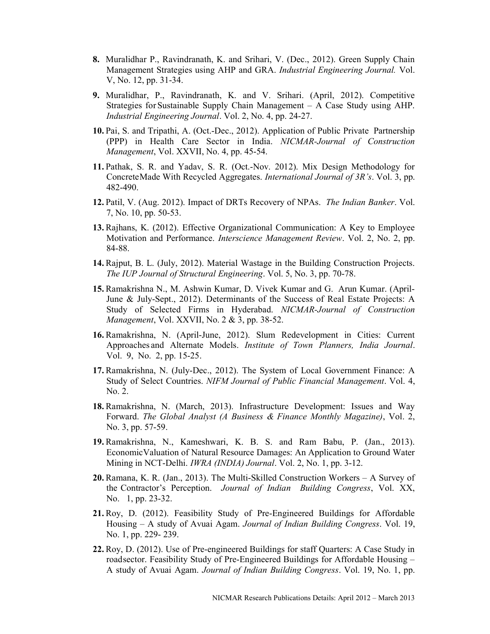- 8. Muralidhar P., Ravindranath, K. and Srihari, V. (Dec., 2012). Green Supply Chain Management Strategies using AHP and GRA. Industrial Engineering Journal. Vol. V, No. 12, pp. 31-34.
- 9. Muralidhar, P., Ravindranath, K. and V. Srihari. (April, 2012). Competitive Strategies for Sustainable Supply Chain Management – A Case Study using AHP. Industrial Engineering Journal. Vol. 2, No. 4, pp. 24-27.
- 10. Pai, S. and Tripathi, A. (Oct.-Dec., 2012). Application of Public Private Partnership (PPP) in Health Care Sector in India. NICMAR-Journal of Construction Management, Vol. XXVII, No. 4, pp. 45-54.
- 11. Pathak, S. R. and Yadav, S. R. (Oct.-Nov. 2012). Mix Design Methodology for Concrete Made With Recycled Aggregates. International Journal of 3R's. Vol. 3, pp. 482-490.
- 12. Patil, V. (Aug. 2012). Impact of DRTs Recovery of NPAs. The Indian Banker. Vol. 7, No. 10, pp. 50-53.
- 13. Rajhans, K. (2012). Effective Organizational Communication: A Key to Employee Motivation and Performance. Interscience Management Review. Vol. 2, No. 2, pp. 84-88.
- 14. Rajput, B. L. (July, 2012). Material Wastage in the Building Construction Projects. The IUP Journal of Structural Engineering. Vol. 5, No. 3, pp. 70-78.
- 15. Ramakrishna N., M. Ashwin Kumar, D. Vivek Kumar and G. Arun Kumar. (April-June & July-Sept., 2012). Determinants of the Success of Real Estate Projects: A Study of Selected Firms in Hyderabad. NICMAR-Journal of Construction Management, Vol. XXVII, No. 2 & 3, pp. 38-52.
- 16. Ramakrishna, N. (April-June, 2012). Slum Redevelopment in Cities: Current Approaches and Alternate Models. Institute of Town Planners, India Journal. Vol. 9, No. 2, pp. 15-25.
- 17. Ramakrishna, N. (July-Dec., 2012). The System of Local Government Finance: A Study of Select Countries. NIFM Journal of Public Financial Management. Vol. 4, No. 2.
- 18. Ramakrishna, N. (March, 2013). Infrastructure Development: Issues and Way Forward. The Global Analyst (A Business & Finance Monthly Magazine), Vol. 2, No. 3, pp. 57-59.
- 19. Ramakrishna, N., Kameshwari, K. B. S. and Ram Babu, P. (Jan., 2013). Economic Valuation of Natural Resource Damages: An Application to Ground Water Mining in NCT-Delhi. *IWRA (INDIA) Journal*. Vol. 2, No. 1, pp. 3-12.
- 20. Ramana, K. R. (Jan., 2013). The Multi-Skilled Construction Workers A Survey of the Contractor's Perception. Journal of Indian Building Congress, Vol. XX, No. 1, pp. 23-32.
- 21. Roy, D. (2012). Feasibility Study of Pre-Engineered Buildings for Affordable Housing – A study of Avuai Agam. Journal of Indian Building Congress. Vol. 19, No. 1, pp. 229- 239.
- 22. Roy, D. (2012). Use of Pre-engineered Buildings for staff Quarters: A Case Study in road sector. Feasibility Study of Pre-Engineered Buildings for Affordable Housing – A study of Avuai Agam. Journal of Indian Building Congress. Vol. 19, No. 1, pp.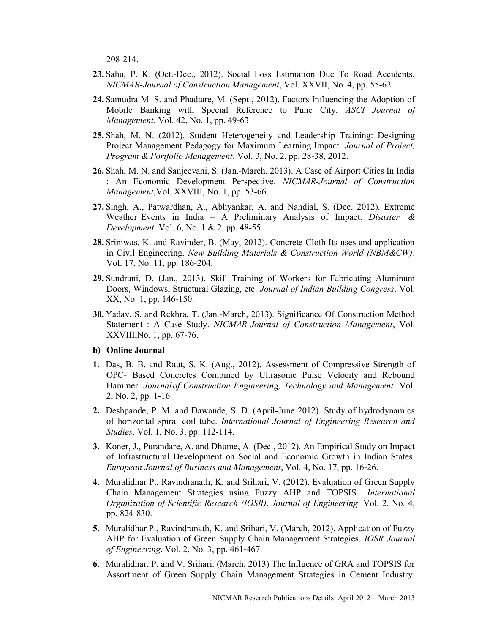208-214.

- 23. Sahu, P. K. (Oct.-Dec., 2012). Social Loss Estimation Due To Road Accidents. NICMAR- Journal of Construction Management, Vol. XXVII, No. 4, pp. 55-62.
- 24. Samudra M. S. and Phadtare, M. (Sept., 2012). Factors Influencing the Adoption of Mobile Banking with Special Reference to Pune City. ASCI Journal of Management. Vol. 42, No. 1, pp. 49-63.
- 25. Shah, M. N. (2012). Student Heterogeneity and Leadership Training: Designing Project Management Pedagogy for Maximum Learning Impact. Journal of Project, Program & Portfolio Management. Vol. 3, No. 2, pp. 28-38, 2012.
- 26. Shah, M. N. and Sanjeevani, S. (Jan.-March, 2013). A Case of Airport Cities In India : An Economic Development Perspective. NICMAR-Journal of Construction Management, Vol. XXVIII, No. 1, pp. 53-66.
- 27. Singh, A., Patwardhan, A., Abhyankar, A. and Nandial, S. (Dec. 2012). Extreme Weather Events in India - A Preliminary Analysis of Impact. Disaster  $\&$ Development. Vol. 6, No. 1 & 2, pp. 48-55.
- 28. Sriniwas, K. and Ravinder, B. (May, 2012). Concrete Cloth Its uses and application in Civil Engineering. New Building Materials & Construction World (NBM&CW). Vol. 17, No. 11, pp. 186-204.
- 29. Sundrani, D. (Jan., 2013). Skill Training of Workers for Fabricating Aluminum Doors, Windows, Structural Glazing, etc. Journal of Indian Building Congress. Vol. XX, No. 1, pp. 146-150.
- 30. Yadav, S. and Rekhra, T. (Jan.-March, 2013). Significance Of Construction Method Statement : A Case Study. NICMAR-Journal of Construction Management, Vol. XXVIII, No. 1, pp. 67-76.
- b) Online Journal
- 1. Das, B. B. and Raut, S. K. (Aug., 2012). Assessment of Compressive Strength of OPC- Based Concretes Combined by Ultrasonic Pulse Velocity and Rebound Hammer. Journal of Construction Engineering, Technology and Management. Vol. 2, No. 2, pp. 1-16.
- 2. Deshpande, P. M. and Dawande, S. D. (April-June 2012). Study of hydrodynamics of horizontal spiral coil tube. International Journal of Engineering Research and Studies. Vol. 1, No. 3, pp. 112-114.
- 3. Koner, J., Purandare, A. and Dhume, A. (Dec., 2012). An Empirical Study on Impact of Infrastructural Development on Social and Economic Growth in Indian States. European Journal of Business and Management, Vol. 4, No. 17, pp. 16-26.
- 4. Muralidhar P., Ravindranath, K. and Srihari, V. (2012). Evaluation of Green Supply Chain Management Strategies using Fuzzy AHP and TOPSIS. International Organization of Scientific Research (IOSR). Journal of Engineering. Vol. 2, No. 4, pp. 824-830.
- 5. Muralidhar P., Ravindranath, K. and Srihari, V. (March, 2012). Application of Fuzzy AHP for Evaluation of Green Supply Chain Management Strategies. IOSR Journal of Engineering. Vol. 2, No. 3, pp. 461-467.
- 6. Muralidhar, P. and V. Srihari. (March, 2013) The Influence of GRA and TOPSIS for Assortment of Green Supply Chain Management Strategies in Cement Industry.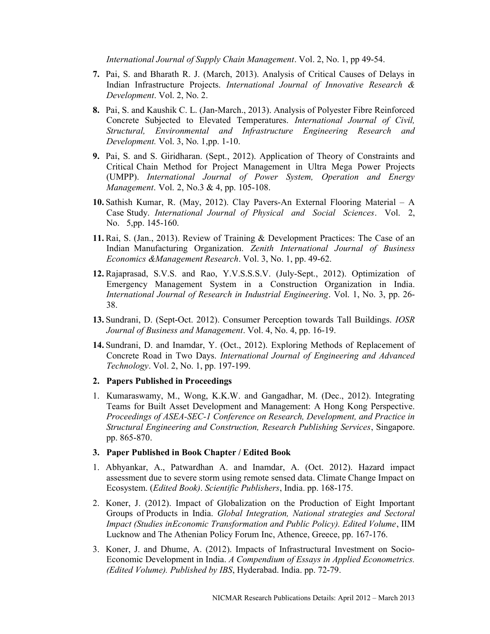International Journal of Supply Chain Management. Vol. 2, No. 1, pp 49-54.

- 7. Pai, S. and Bharath R. J. (March, 2013). Analysis of Critical Causes of Delays in Indian Infrastructure Projects. International Journal of Innovative Research & Development. Vol. 2, No. 2.
- 8. Pai, S. and Kaushik C. L. (Jan-March., 2013). Analysis of Polyester Fibre Reinforced Concrete Subjected to Elevated Temperatures. International Journal of Civil, Structural, Environmental and Infrastructure Engineering Research and Development. Vol. 3, No. 1, pp. 1-10.
- 9. Pai, S. and S. Giridharan. (Sept., 2012). Application of Theory of Constraints and Critical Chain Method for Project Management in Ultra Mega Power Projects (UMPP). International Journal of Power System, Operation and Energy Management. Vol. 2, No.3 & 4, pp. 105-108.
- 10. Sathish Kumar, R. (May, 2012). Clay Pavers-An External Flooring Material A Case Study. International Journal of Physical and Social Sciences. Vol. 2, No. 5, pp. 145-160.
- 11. Rai, S. (Jan., 2013). Review of Training & Development Practices: The Case of an Indian Manufacturing Organization. Zenith International Journal of Business Economics & Management Research. Vol. 3, No. 1, pp. 49-62.
- 12. Rajaprasad, S.V.S. and Rao, Y.V.S.S.S.V. (July-Sept., 2012). Optimization of Emergency Management System in a Construction Organization in India. International Journal of Research in Industrial Engineering. Vol. 1, No. 3, pp. 26- 38.
- 13. Sundrani, D. (Sept-Oct. 2012). Consumer Perception towards Tall Buildings. IOSR Journal of Business and Management. Vol. 4, No. 4, pp. 16-19.
- 14. Sundrani, D. and Inamdar, Y. (Oct., 2012). Exploring Methods of Replacement of Concrete Road in Two Days. International Journal of Engineering and Advanced Technology. Vol. 2, No. 1, pp. 197-199.
- 2. Papers Published in Proceedings
- 1. Kumaraswamy, M., Wong, K.K.W. and Gangadhar, M. (Dec., 2012). Integrating Teams for Built Asset Development and Management: A Hong Kong Perspective. Proceedings of ASEA-SEC-1 Conference on Research, Development, and Practice in Structural Engineering and Construction, Research Publishing Services, Singapore. pp. 865-870.

#### 3. Paper Published in Book Chapter / Edited Book

- 1. Abhyankar, A., Patwardhan A. and Inamdar, A. (Oct. 2012). Hazard impact assessment due to severe storm using remote sensed data. Climate Change Impact on Ecosystem. (Edited Book). Scientific Publishers, India. pp. 168-175.
- 2. Koner, J. (2012). Impact of Globalization on the Production of Eight Important Groups of Products in India. Global Integration, National strategies and Sectoral Impact (Studies in Economic Transformation and Public Policy). Edited Volume, IIM Lucknow and The Athenian Policy Forum Inc, Athence, Greece, pp. 167-176.
- 3. Koner, J. and Dhume, A. (2012). Impacts of Infrastructural Investment on Socio-Economic Development in India. A Compendium of Essays in Applied Econometrics. (Edited Volume). Published by IBS, Hyderabad. India. pp. 72-79.